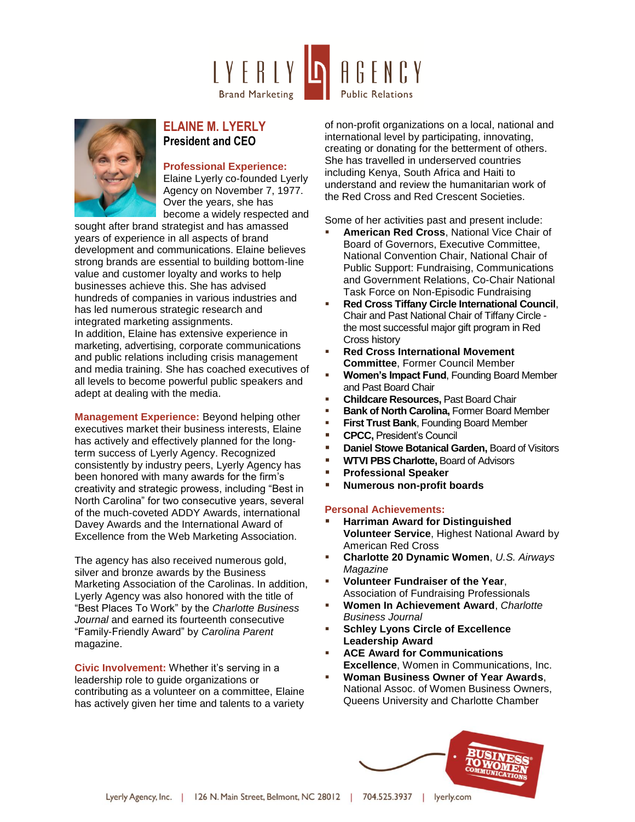



## **ELAINE M. LYERLY President and CEO**

## **Professional Experience:**

Elaine Lyerly co-founded Lyerly Agency on November 7, 1977. Over the years, she has become a widely respected and

sought after brand strategist and has amassed years of experience in all aspects of brand development and communications. Elaine believes strong brands are essential to building bottom-line value and customer loyalty and works to help businesses achieve this. She has advised hundreds of companies in various industries and has led numerous strategic research and integrated marketing assignments. In addition, Elaine has extensive experience in marketing, advertising, corporate communications and public relations including crisis management and media training. She has coached executives of all levels to become powerful public speakers and adept at dealing with the media.

**Management Experience:** Beyond helping other executives market their business interests, Elaine has actively and effectively planned for the longterm success of Lyerly Agency. Recognized consistently by industry peers, Lyerly Agency has been honored with many awards for the firm's creativity and strategic prowess, including "Best in North Carolina" for two consecutive years, several of the much-coveted ADDY Awards, international Davey Awards and the International Award of Excellence from the Web Marketing Association.

The agency has also received numerous gold, silver and bronze awards by the Business Marketing Association of the Carolinas. In addition, Lyerly Agency was also honored with the title of "Best Places To Work" by the *Charlotte Business Journal* and earned its fourteenth consecutive "Family-Friendly Award" by *Carolina Parent* magazine.

**Civic Involvement:** Whether it's serving in a leadership role to guide organizations or contributing as a volunteer on a committee, Elaine has actively given her time and talents to a variety of non-profit organizations on a local, national and international level by participating, innovating, creating or donating for the betterment of others. She has travelled in underserved countries including Kenya, South Africa and Haiti to understand and review the humanitarian work of the Red Cross and Red Crescent Societies.

Some of her activities past and present include:

- **American Red Cross**, National Vice Chair of Board of Governors, Executive Committee, National Convention Chair, National Chair of Public Support: Fundraising, Communications and Government Relations, Co-Chair National Task Force on Non-Episodic Fundraising
- **Red Cross Tiffany Circle International Council**, Chair and Past National Chair of Tiffany Circle the most successful major gift program in Red Cross history
- **Red Cross International Movement Committee**, Former Council Member
- **Women's Impact Fund**, Founding Board Member and Past Board Chair
- **Childcare Resources, Past Board Chair**
- **Bank of North Carolina, Former Board Member**
- **First Trust Bank**, Founding Board Member
- **CPCC.** President's Council
- **Daniel Stowe Botanical Garden, Board of Visitors**
- **WTVI PBS Charlotte, Board of Advisors**
- **Professional Speaker**
- **Numerous non-profit boards**

## **Personal Achievements:**

- **Harriman Award for Distinguished Volunteer Service**, Highest National Award by American Red Cross
- **Charlotte 20 Dynamic Women**, *U.S. Airways Magazine*
- **Volunteer Fundraiser of the Year**, Association of Fundraising Professionals
- **Women In Achievement Award**, *Charlotte Business Journal*
- **Schley Lyons Circle of Excellence Leadership Award**
- **ACE Award for Communications Excellence**, Women in Communications, Inc.
- **Woman Business Owner of Year Awards**, National Assoc. of Women Business Owners, Queens University and Charlotte Chamber